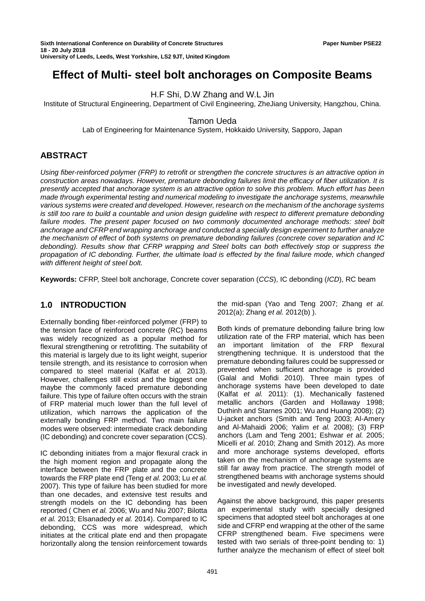# **Effect of Multi- steel bolt anchorages on Composite Beams**

H.F Shi, D.W Zhang and W.L Jin

Institute of Structural Engineering, Department of Civil Engineering, ZheJiang University, Hangzhou, China.

Tamon Ueda

Lab of Engineering for Maintenance System, Hokkaido University, Sapporo, Japan

# **ABSTRACT**

*Using fiber-reinforced polymer (FRP) to retrofit or strengthen the concrete structures is an attractive option in construction areas nowadays. However, premature debonding failures limit the efficacy of fiber utilization. It is presently accepted that anchorage system is an attractive option to solve this problem. Much effort has been made through experimental testing and numerical modeling to investigate the anchorage systems, meanwhile various systems were created and developed. However, research on the mechanism of the anchorage systems is still too rare to build a countable and union design guideline with respect to different premature debonding failure modes. The present paper focused on two commonly documented anchorage methods: steel bolt anchorage and CFRP end wrapping anchorage and conducted a specially design experiment to further analyze the mechanism of effect of both systems on premature debonding failures (concrete cover separation and IC debonding). Results show that CFRP wrapping and Steel bolts can both effectively stop or suppress the propagation of IC debonding. Further, the ultimate load is effected by the final failure mode, which changed with different height of steel bolt.*

**Keywords:** CFRP, Steel bolt anchorage, Concrete cover separation (*CCS*), IC debonding (*ICD*), RC beam

## **1.0 INTRODUCTION**

Externally bonding fiber-reinforced polymer (FRP) to the tension face of reinforced concrete (RC) beams was widely recognized as a popular method for flexural strengthening or retrofitting. The suitability of this material is largely due to its light weight, superior tensile strength, and its resistance to corrosion when compared to steel material (Kalfat *et al.* 2013). However, challenges still exist and the biggest one maybe the commonly faced premature debonding failure. This type of failure often occurs with the strain of FRP material much lower than the full level of utilization, which narrows the application of the externally bonding FRP method. Two main failure modes were observed: intermediate crack debonding (IC debonding) and concrete cover separation (CCS).

IC debonding initiates from a major flexural crack in the high moment region and propagate along the interface between the FRP plate and the concrete towards the FRP plate end (Teng *et al.* 2003; Lu *et al.* 2007). This type of failure has been studied for more than one decades, and extensive test results and strength models on the IC debonding has been reported ( Chen *et al.* 2006; Wu and Niu 2007; Bilotta *et al.* 2013; Elsanadedy *et al.* 2014). Compared to IC debonding, CCS was more widespread, which initiates at the critical plate end and then propagate horizontally along the tension reinforcement towards

the mid-span (Yao and Teng 2007; Zhang *et al.* 2012(a); Zhang *et al.* 2012(b) ).

Both kinds of premature debonding failure bring low utilization rate of the FRP material, which has been an important limitation of the FRP flexural strengthening technique. It is understood that the premature debonding failures could be suppressed or prevented when sufficient anchorage is provided (Galal and Mofidi 2010). Three main types of anchorage systems have been developed to date (Kalfat *et al.* 2011): (1). Mechanically fastened metallic anchors (Garden and Hollaway 1998; Duthinh and Starnes 2001; Wu and Huang 2008); (2) U-jacket anchors (Smith and Teng 2003; Al-Amery and Al-Mahaidi 2006; Yalim *et al.* 2008); (3) FRP anchors (Lam and Teng 2001; Eshwar *et al.* 2005; Micelli *et al.* 2010; Zhang and Smith 2012). As more and more anchorage systems developed, efforts taken on the mechanism of anchorage systems are still far away from practice. The strength model of strengthened beams with anchorage systems should be investigated and newly developed.

Against the above background, this paper presents an experimental study with specially designed specimens that adopted steel bolt anchorages at one side and CFRP end wrapping at the other of the same CFRP strengthened beam. Five specimens were tested with two serials of three-point bending to: 1) further analyze the mechanism of effect of steel bolt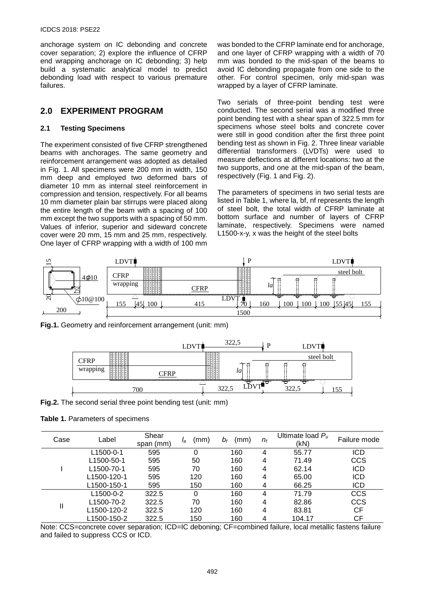#### ICDCS 2018: PSE22

anchorage system on IC debonding and concrete cover separation; 2) explore the influence of CFRP end wrapping anchorage on IC debonding; 3) help build a systematic analytical model to predict debonding load with respect to various premature failures.

## **2.0 EXPERIMENT PROGRAM**

#### **2.1 Testing Specimens**

The experiment consisted of five CFRP strengthened beams with anchorages. The same geometry and reinforcement arrangement was adopted as detailed in Fig. 1. All specimens were 200 mm in width, 150 mm deep and employed two deformed bars of diameter 10 mm as internal steel reinforcement in compression and tension, respectively. For all beams 10 mm diameter plain bar stirrups were placed along the entire length of the beam with a spacing of 100 mm except the two supports with a spacing of 50 mm. Values of inferior, superior and sideward concrete cover were 20 mm, 15 mm and 25 mm, respectively. One layer of CFRP wrapping with a width of 100 mm

was bonded to the CFRP laminate end for anchorage, and one layer of CFRP wrapping with a width of 70 mm was bonded to the mid-span of the beams to avoid IC debonding propagate from one side to the other. For control specimen, only mid-span was wrapped by a layer of CFRP laminate.

Two serials of three-point bending test were conducted. The second serial was a modified three point bending test with a shear span of 322.5 mm for specimens whose steel bolts and concrete cover were still in good condition after the first three point bending test as shown in Fig. 2. Three linear variable differential transformers (LVDTs) were used to measure deflections at different locations: two at the two supports, and one at the mid-span of the beam, respectively (Fig. 1 and Fig. 2).

The parameters of specimens in two serial tests are listed in Table 1, where la, bf, nf represents the length of steel bolt, the total width of CFRP laminate at bottom surface and number of layers of CFRP laminate, respectively. Specimens were named L1500-x-y, x was the height of the steel bolts



**Fig.1.** Geometry and reinforcement arrangement (unit: mm)



**Fig.2.** The second serial three point bending test (unit: mm)

#### **Table 1.** Parameters of specimens

| Case | Label                   | Shear<br>span (mm) | (mm)<br>la | (mm)<br>bғ | $n_{\rm f}$ | Ultimate load $P_u$<br>(kN) | Failure mode |
|------|-------------------------|--------------------|------------|------------|-------------|-----------------------------|--------------|
|      | L1500-0-1               | 595                | 0          | 160        | 4           | 55.77                       | <b>ICD</b>   |
|      | L <sub>1500</sub> -50-1 | 595                | 50         | 160        | 4           | 71.49                       | <b>CCS</b>   |
|      | L <sub>1500</sub> -70-1 | 595                | 70         | 160        | 4           | 62.14                       | <b>ICD</b>   |
|      | L1500-120-1             | 595                | 120        | 160        | 4           | 65.00                       | <b>ICD</b>   |
|      | L1500-150-1             | 595                | 150        | 160        | 4           | 66.25                       | <b>ICD</b>   |
| Ш    | L1500-0-2               | 322.5              | 0          | 160        | 4           | 71.79                       | <b>CCS</b>   |
|      | L1500-70-2              | 322.5              | 70         | 160        | 4           | 82.86                       | <b>CCS</b>   |
|      | L1500-120-2             | 322.5              | 120        | 160        | 4           | 83.81                       | СF           |
|      | L1500-150-2             | 322.5              | 150        | 160        | 4           | 104.17                      | СF           |

Note: CCS=concrete cover separation; ICD=IC deboning; CF=combined failure, local metallic fastens failure and failed to suppress CCS or ICD.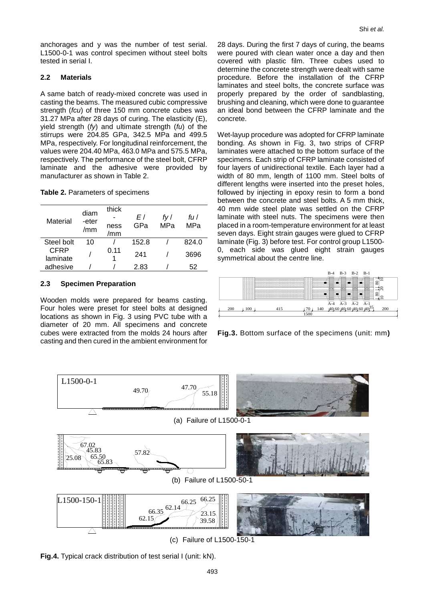anchorages and y was the number of test serial. L1500-0-1 was control specimen without steel bolts tested in serial I.

#### **2.2 Materials**

A same batch of ready-mixed concrete was used in casting the beams. The measured cubic compressive strength (*fcu*) of three 150 mm concrete cubes was 31.27 MPa after 28 days of curing. The elasticity (E), yield strength (*fy*) and ultimate strength (*fu*) of the stirrups were 204.85 GPa, 342.5 MPa and 499.5 MPa, respectively. For longitudinal reinforcement, the values were 204.40 MPa, 463.0 MPa and 575.5 MPa, respectively. The performance of the steel bolt, CFRP laminate and the adhesive were provided by manufacturer as shown in Table 2.

| Table 2. Parameters of specimens |  |
|----------------------------------|--|
|----------------------------------|--|

| Material         | diam<br>-eter<br>/mm | thick<br>ness<br>/mm | E l<br>GPa | fv l<br>MPa | fu l<br>MPa |
|------------------|----------------------|----------------------|------------|-------------|-------------|
| Steel bolt       | 10                   |                      | 152.8      |             | 824.0       |
| CFRP<br>laminate |                      | 0.11                 |            |             | 3696        |
| adhesive         |                      |                      | 2.83       |             | 52          |

#### **2.3 Specimen Preparation**

Wooden molds were prepared for beams casting. Four holes were preset for steel bolts at designed locations as shown in Fig. 3 using PVC tube with a diameter of 20 mm. All specimens and concrete cubes were extracted from the molds 24 hours after casting and then cured in the ambient environment for

28 days. During the first 7 days of curing, the beams were poured with clean water once a day and then covered with plastic film. Three cubes used to determine the concrete strength were dealt with same procedure. Before the installation of the CFRP laminates and steel bolts, the concrete surface was properly prepared by the order of sandblasting, brushing and cleaning, which were done to guarantee an ideal bond between the CFRP laminate and the concrete.

Wet-layup procedure was adopted for CFRP laminate bonding. As shown in Fig. 3, two strips of CFRP laminates were attached to the bottom surface of the specimens. Each strip of CFRP laminate consisted of four layers of unidirectional textile. Each layer had a width of 80 mm, length of 1100 mm. Steel bolts of different lengths were inserted into the preset holes, followed by injecting in epoxy resin to form a bond between the concrete and steel bolts. A 5 mm thick, 40 mm wide steel plate was settled on the CFRP laminate with steel nuts. The specimens were then placed in a room-temperature environment for at least seven days. Eight strain gauges were glued to CFRP laminate (Fig. 3) before test. For control group L1500- 0, each side was glued eight strain gauges symmetrical about the centre line.



**Fig.3.** Bottom surface of the specimens (unit: mm**)**



(c) Failure of L1500-150-1

**Fig.4.** Typical crack distribution of test serial I (unit: kN).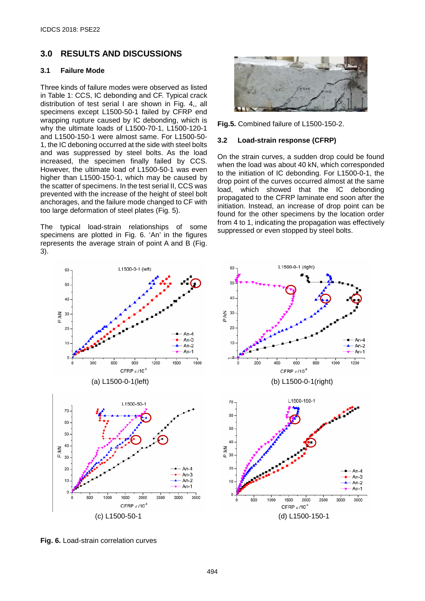# **3.0 RESULTS AND DISCUSSIONS**

#### **3.1 Failure Mode**

Three kinds of failure modes were observed as listed in Table 1: CCS, IC debonding and CF. Typical crack distribution of test serial I are shown in Fig. 4,, all specimens except L1500-50-1 failed by CFRP end wrapping rupture caused by IC debonding, which is why the ultimate loads of L1500-70-1, L1500-120-1 and L1500-150-1 were almost same. For L1500-50- 1, the IC deboning occurred at the side with steel bolts and was suppressed by steel bolts. As the load increased, the specimen finally failed by CCS. However, the ultimate load of L1500-50-1 was even higher than L1500-150-1, which may be caused by the scatter of specimens. In the test serial II, CCS was prevented with the increase of the height of steel bolt anchorages, and the failure mode changed to CF with too large deformation of steel plates (Fig. 5).

The typical load-strain relationships of some specimens are plotted in Fig. 6. 'An' in the figures represents the average strain of point A and B (Fig. 3).





**Fig.5.** Combined failure of L1500-150-2.

#### **3.2 Load-strain response (CFRP)**

On the strain curves, a sudden drop could be found when the load was about 40 kN, which corresponded to the initiation of IC debonding. For L1500-0-1, the drop point of the curves occurred almost at the same load, which showed that the IC debonding propagated to the CFRP laminate end soon after the initiation. Instead, an increase of drop point can be found for the other specimens by the location order from 4 to 1, indicating the propagation was effectively suppressed or even stopped by steel bolts.



**Fig. 6.** Load-strain correlation curves